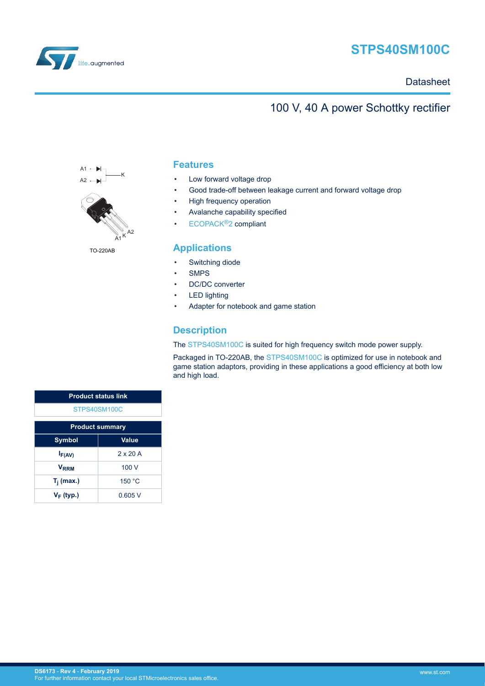

# **STPS40SM100C**

**Datasheet** 

# 100 V, 40 A power Schottky rectifier





TO-220AB

### **Features**

- Low forward voltage drop
- Good trade-off between leakage current and forward voltage drop
- High frequency operation
- Avalanche capability specified
- [ECOPACK](https://www.st.com/ecopack)®2 compliant

### **Applications**

- Switching diode
- **SMPS**
- DC/DC converter
- **LED lighting**
- Adapter for notebook and game station

### **Description**

The [STPS40SM100C](http://www.st.com/en/product/stps40sm100c) is suited for high frequency switch mode power supply.

Packaged in TO-220AB, the [STPS40SM100C](http://www.st.com/en/product/stps40sm100c) is optimized for use in notebook and game station adaptors, providing in these applications a good efficiency at both low and high load.

| <b>Product status link</b> |                 |  |  |
|----------------------------|-----------------|--|--|
| STPS40SM100C               |                 |  |  |
| <b>Product summary</b>     |                 |  |  |
| Value<br><b>Symbol</b>     |                 |  |  |
| $I_{F(AV)}$                | $2 \times 20$ A |  |  |
| V <sub>RRM</sub>           | 100V            |  |  |
| $T_i$ (max.)               | 150 °C          |  |  |
| $V_F$ (typ.)               | 0.605V          |  |  |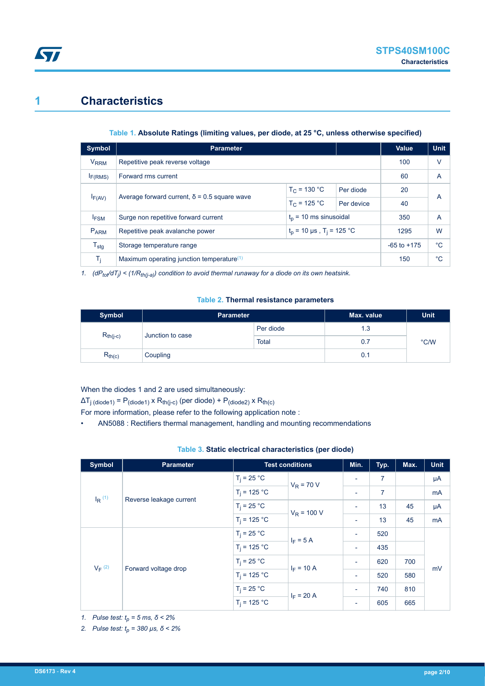# **1 Characteristics**

<span id="page-1-0"></span>**STI** 

#### **Table 1. Absolute Ratings (limiting values, per diode, at 25 °C, unless otherwise specified)**

| Symbol                 | <b>Parameter</b>                                                          |                |            |                 | <b>Unit</b>    |
|------------------------|---------------------------------------------------------------------------|----------------|------------|-----------------|----------------|
| <b>V<sub>RRM</sub></b> | Repetitive peak reverse voltage                                           |                |            | 100             | v              |
| I <sub>F(RMS)</sub>    | Forward rms current                                                       |                |            | 60              | $\overline{A}$ |
|                        |                                                                           | $T_C = 130 °C$ | Per diode  | 20              |                |
| $I_{F(AV)}$            | Average forward current, $\delta$ = 0.5 square wave                       | $T_C = 125 °C$ | Per device | 40              | A              |
| <b>FSM</b>             | $t_0$ = 10 ms sinusoidal<br>Surge non repetitive forward current          |                |            | 350             | $\overline{A}$ |
| <b>PARM</b>            | $t_p$ = 10 µs, T <sub>i</sub> = 125 °C<br>Repetitive peak avalanche power |                | 1295       | W               |                |
| $T_{\text{stg}}$       | Storage temperature range                                                 |                |            | $-65$ to $+175$ | °C             |
| Ti                     | Maximum operating junction temperature $(1)$                              |                |            | 150             | °C             |

*1. (dPtot/dT<sup>j</sup> ) < (1/Rth(j-a)) condition to avoid thermal runaway for a diode on its own heatsink.*

#### **Table 2. Thermal resistance parameters**

| Symbol        | <b>Parameter</b> |              | Max. value | <b>Unit</b> |
|---------------|------------------|--------------|------------|-------------|
| $R_{th(j-c)}$ | Junction to case | Per diode    | 1.3        | °C/W        |
|               |                  | <b>Total</b> | 0.7        |             |
| $R_{th(c)}$   | Coupling         |              | 0.1        |             |

### When the diodes 1 and 2 are used simultaneously:

 $\Delta T_{j \text{(diode1)}} = P_{\text{(diode1)}} \times R_{\text{th}(j-c)}$  (per diode) +  $P_{\text{(diode2)}} \times R_{\text{th}(c)}$ 

For more information, please refer to the following application note :

• AN5088 : Rectifiers thermal management, handling and mounting recommendations

| Table 3. Static electrical characteristics (per diode) |  |  |
|--------------------------------------------------------|--|--|
|--------------------------------------------------------|--|--|

| <b>Symbol</b>                                | <b>Parameter</b>        | <b>Test conditions</b> |                             | Min.                     | Typ.           | Max. | <b>Unit</b> |
|----------------------------------------------|-------------------------|------------------------|-----------------------------|--------------------------|----------------|------|-------------|
|                                              |                         | $T_i = 25 °C$          | $V_R$ = 70 V                | $\blacksquare$           | $\overline{7}$ |      | μA          |
|                                              |                         | $T_i = 125 °C$         |                             | $\overline{\phantom{a}}$ | 7              |      | mA          |
| $I_R$ <sup>(1)</sup>                         | Reverse leakage current | $T_i = 25 °C$          | $V_R$ = 100 V               | $\overline{\phantom{a}}$ | 13             | 45   | μA          |
|                                              |                         | $T_i = 125 °C$         |                             | $\overline{\phantom{a}}$ | 13             | 45   | mA          |
| $V_F$ <sup>(2)</sup><br>Forward voltage drop |                         | $T_i = 25 °C$          | $I_F = 5 A$<br>$I_F = 10 A$ | $\overline{\phantom{a}}$ | 520            |      | mV          |
|                                              |                         | $T_i = 125 °C$         |                             | $\overline{\phantom{a}}$ | 435            |      |             |
|                                              |                         | $T_i = 25 °C$          |                             | $\overline{\phantom{a}}$ | 620            | 700  |             |
|                                              |                         | $T_i = 125 °C$         |                             | $\overline{\phantom{a}}$ | 520            | 580  |             |
|                                              |                         | $T_i = 25 °C$          | $I_F = 20 A$                | $\overline{\phantom{a}}$ | 740            | 810  |             |
|                                              |                         | $T_i = 125 °C$         |                             | $\overline{\phantom{a}}$ | 605            | 665  |             |

*1. Pulse test: tp = 5 ms, δ < 2%*

*2. Pulse test: tp = 380 µs, δ < 2%*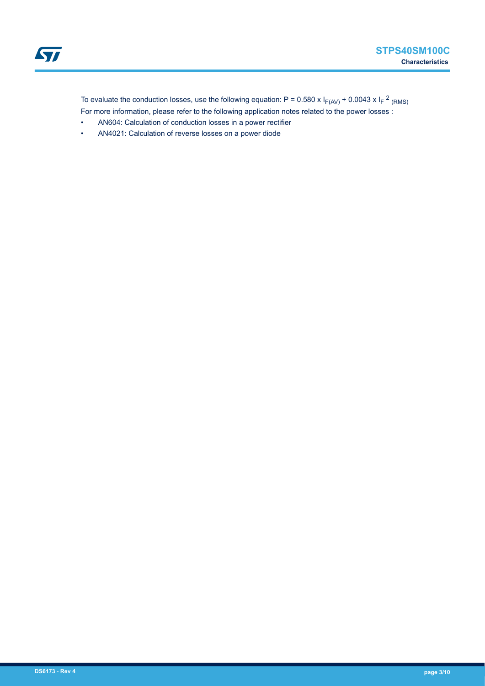To evaluate the conduction losses, use the following equation: P = 0.580 x  $I_{F(AV)}$  + 0.0043 x  $I_F$  <sup>2</sup> <sub>(RMS)</sub> For more information, please refer to the following application notes related to the power losses :

- AN604: Calculation of conduction losses in a power rectifier
- AN4021: Calculation of reverse losses on a power diode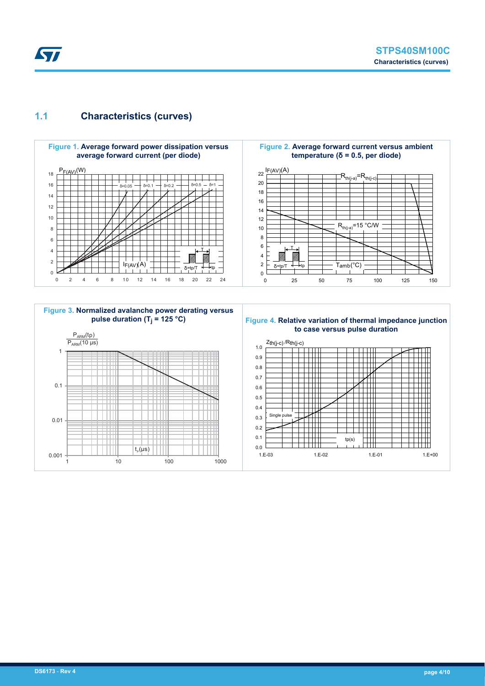## **1.1 Characteristics (curves)**

<span id="page-3-0"></span>**STI** 



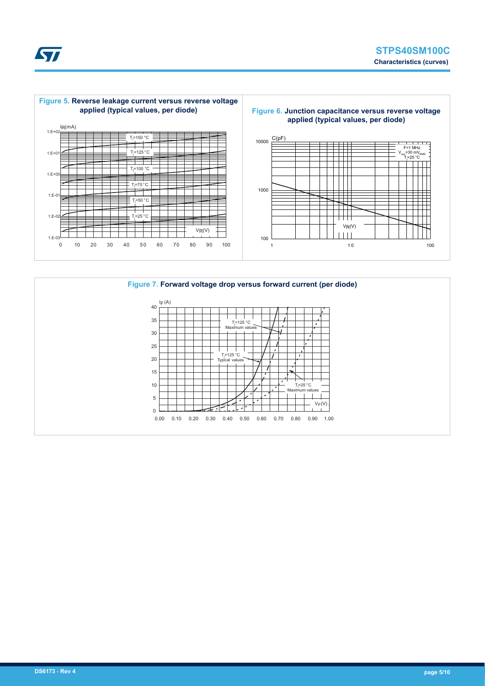



#### **Figure 7. Forward voltage drop versus forward current (per diode)**

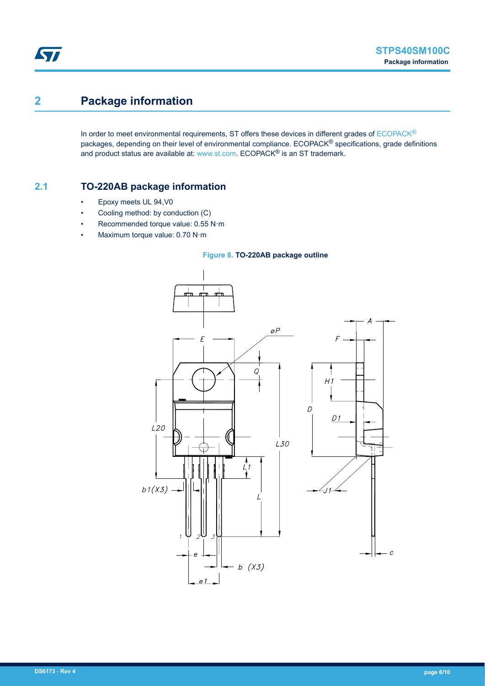# **2 Package information**

In order to meet environmental requirements, ST offers these devices in different grades of [ECOPACK](https://www.st.com/ecopack)® packages, depending on their level of environmental compliance. ECOPACK<sup>®</sup> specifications, grade definitions and product status are available at: [www.st.com.](http://www.st.com) ECOPACK® is an ST trademark.

### **2.1 TO-220AB package information**

- Epoxy meets UL 94,V0
- Cooling method: by conduction (C)
- Recommended torque value: 0.55 N·m
- Maximum torque value: 0.70 N·m

#### **Figure 8. TO-220AB package outline**

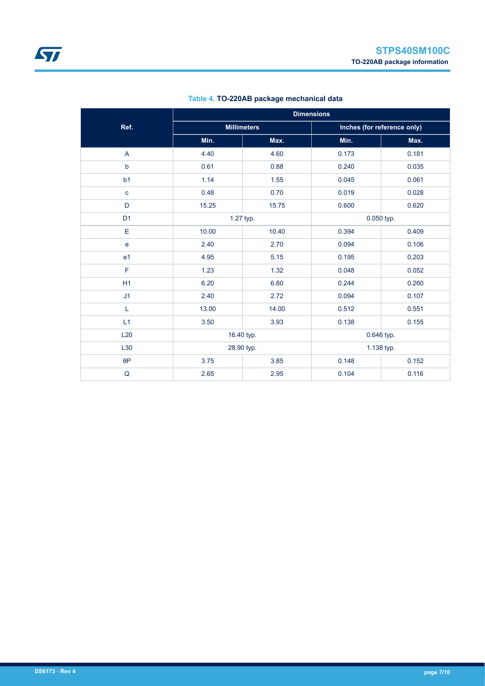|                | <b>Dimensions</b> |                    |                             |       |  |
|----------------|-------------------|--------------------|-----------------------------|-------|--|
| Ref.           |                   | <b>Millimeters</b> | Inches (for reference only) |       |  |
|                | Min.              | Max.               | Min.                        | Max.  |  |
| A              | 4.40              | 4.60               | 0.173                       | 0.181 |  |
| $\mathsf b$    | 0.61              | 0.88               | 0.240                       | 0.035 |  |
| b <sub>1</sub> | 1.14              | 1.55               | 0.045                       | 0.061 |  |
| $\mathbf c$    | 0.48              | 0.70               | 0.019                       | 0.028 |  |
| D              | 15.25             | 15.75              | 0.600                       | 0.620 |  |
| D <sub>1</sub> |                   | 1.27 typ.          | 0.050 typ.                  |       |  |
| E              | 10.00             | 10.40              | 0.394                       | 0.409 |  |
| $\mathbf{e}$   | 2.40              | 2.70               | 0.094                       | 0.106 |  |
| e <sub>1</sub> | 4.95              | 5.15               | 0.195                       | 0.203 |  |
| F              | 1.23              | 1.32               | 0.048                       | 0.052 |  |
| H1             | 6.20              | 6.60               | 0.244                       | 0.260 |  |
| J1             | 2.40              | 2.72               | 0.094                       | 0.107 |  |
| L              | 13.00             | 14.00              | 0.512                       | 0.551 |  |
| L1             | 3.50              | 3.93               | 0.138                       | 0.155 |  |
| L20            | 16.40 typ.        |                    | 0.646 typ.                  |       |  |
| L30            | 28.90 typ.        |                    | 1.138 typ.                  |       |  |
| $\theta P$     | 3.75              | 3.85               | 0.148                       | 0.152 |  |
| $\sf Q$        | 2.65              | 2.95               | 0.104                       | 0.116 |  |

### **Table 4. TO-220AB package mechanical data**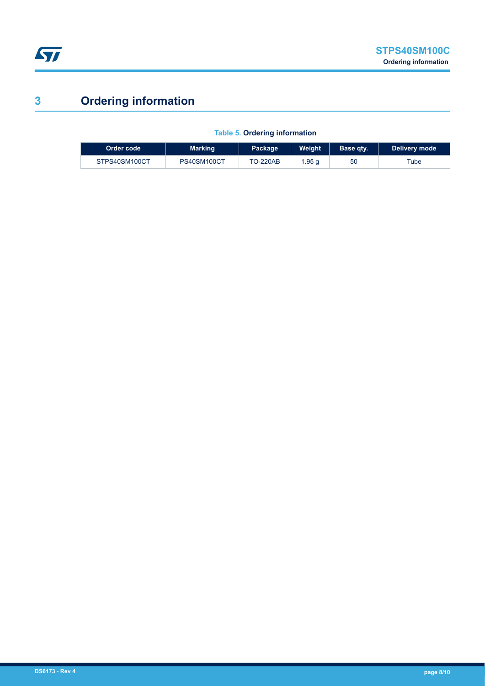

# **3 Ordering information**

I

| Order code    | <b>Marking</b> | Package         | Weight | Base qty. | Delivery mode |
|---------------|----------------|-----------------|--------|-----------|---------------|
| STPS40SM100CT | PS40SM100CT    | <b>TO-220AB</b> | .95 g  | 50        | Tube          |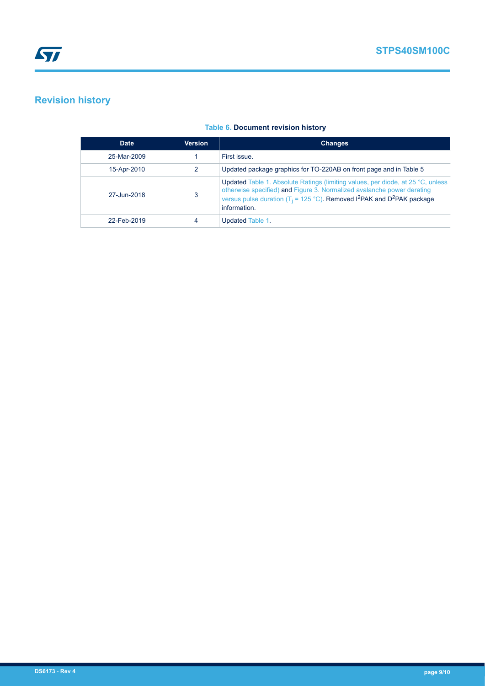# **Revision history**

| <b>Date</b> | <b>Version</b> | <b>Changes</b>                                                                                                                                                                                                                                                                          |
|-------------|----------------|-----------------------------------------------------------------------------------------------------------------------------------------------------------------------------------------------------------------------------------------------------------------------------------------|
| 25-Mar-2009 |                | First issue.                                                                                                                                                                                                                                                                            |
| 15-Apr-2010 | 2              | Updated package graphics for TO-220AB on front page and in Table 5                                                                                                                                                                                                                      |
| 27-Jun-2018 | 3              | Updated Table 1. Absolute Ratings (limiting values, per diode, at 25 °C, unless<br>otherwise specified) and Figure 3. Normalized avalanche power derating<br>versus pulse duration (T <sub>i</sub> = 125 °C). Removed I <sup>2</sup> PAK and D <sup>2</sup> PAK package<br>information. |
| 22-Feb-2019 |                | Updated Table 1.                                                                                                                                                                                                                                                                        |